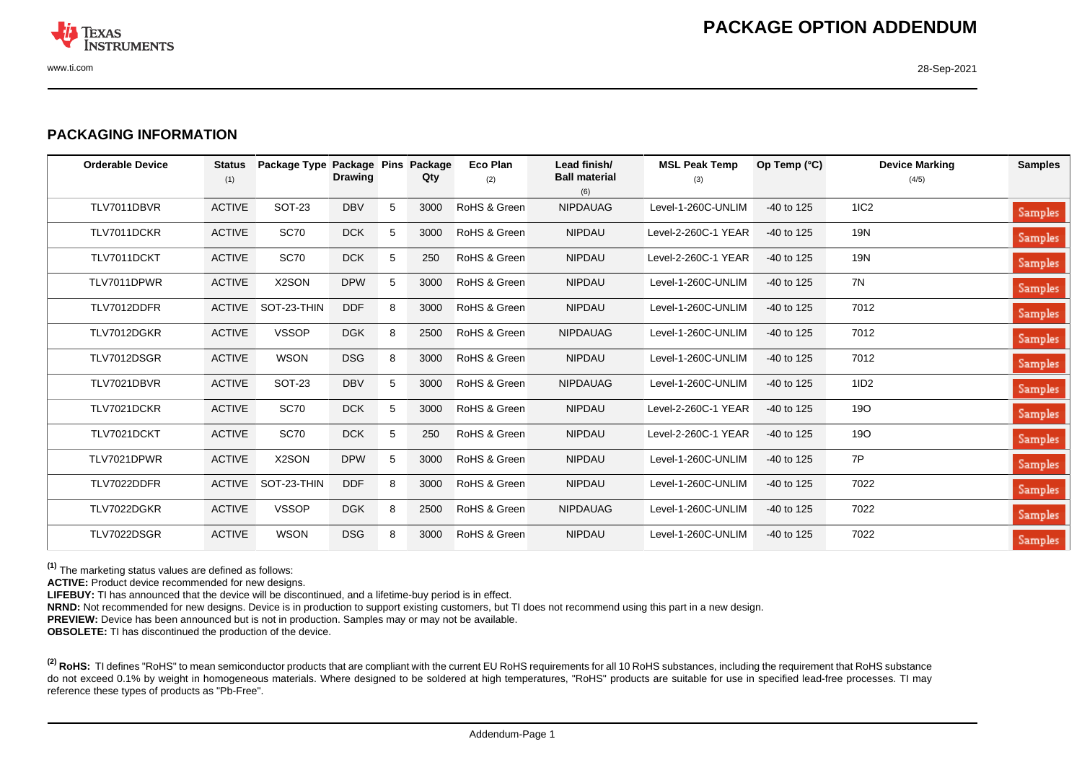

## **PACKAGING INFORMATION**

| <b>Orderable Device</b> | <b>Status</b><br>(1) | Package Type Package Pins | <b>Drawing</b> |   | Package<br>Qty | <b>Eco Plan</b><br>(2) | Lead finish/<br><b>Ball material</b><br>(6) | <b>MSL Peak Temp</b><br>(3) | Op Temp $(^{\circ}C)$ | <b>Device Marking</b><br>(4/5) | <b>Samples</b> |
|-------------------------|----------------------|---------------------------|----------------|---|----------------|------------------------|---------------------------------------------|-----------------------------|-----------------------|--------------------------------|----------------|
| TLV7011DBVR             | <b>ACTIVE</b>        | <b>SOT-23</b>             | <b>DBV</b>     | 5 | 3000           | RoHS & Green           | <b>NIPDAUAG</b>                             | Level-1-260C-UNLIM          | $-40$ to 125          | 1IC2                           | Samples        |
| TLV7011DCKR             | <b>ACTIVE</b>        | <b>SC70</b>               | <b>DCK</b>     | 5 | 3000           | RoHS & Green           | <b>NIPDAU</b>                               | Level-2-260C-1 YEAR         | $-40$ to 125          | 19N                            | Samples        |
| TLV7011DCKT             | <b>ACTIVE</b>        | <b>SC70</b>               | <b>DCK</b>     | 5 | 250            | RoHS & Green           | <b>NIPDAU</b>                               | Level-2-260C-1 YEAR         | $-40$ to 125          | 19N                            | Samples        |
| TLV7011DPWR             | <b>ACTIVE</b>        | X2SON                     | <b>DPW</b>     | 5 | 3000           | RoHS & Green           | <b>NIPDAU</b>                               | Level-1-260C-UNLIM          | $-40$ to 125          | 7N                             | Samples        |
| TLV7012DDFR             | <b>ACTIVE</b>        | SOT-23-THIN               | <b>DDF</b>     | 8 | 3000           | RoHS & Green           | <b>NIPDAU</b>                               | Level-1-260C-UNLIM          | -40 to 125            | 7012                           | Samples        |
| TLV7012DGKR             | <b>ACTIVE</b>        | <b>VSSOP</b>              | <b>DGK</b>     | 8 | 2500           | RoHS & Green           | <b>NIPDAUAG</b>                             | Level-1-260C-UNLIM          | $-40$ to 125          | 7012                           | Samples        |
| TLV7012DSGR             | <b>ACTIVE</b>        | <b>WSON</b>               | <b>DSG</b>     | 8 | 3000           | RoHS & Green           | <b>NIPDAU</b>                               | Level-1-260C-UNLIM          | $-40$ to 125          | 7012                           | Samples        |
| TLV7021DBVR             | <b>ACTIVE</b>        | <b>SOT-23</b>             | <b>DBV</b>     | 5 | 3000           | RoHS & Green           | <b>NIPDAUAG</b>                             | Level-1-260C-UNLIM          | $-40$ to 125          | 1ID2                           | Samples        |
| TLV7021DCKR             | <b>ACTIVE</b>        | <b>SC70</b>               | <b>DCK</b>     | 5 | 3000           | RoHS & Green           | <b>NIPDAU</b>                               | Level-2-260C-1 YEAR         | $-40$ to 125          | <b>19O</b>                     | Samples        |
| TLV7021DCKT             | <b>ACTIVE</b>        | <b>SC70</b>               | <b>DCK</b>     | 5 | 250            | RoHS & Green           | <b>NIPDAU</b>                               | Level-2-260C-1 YEAR         | $-40$ to 125          | <b>19O</b>                     | Samples        |
| TLV7021DPWR             | <b>ACTIVE</b>        | X2SON                     | <b>DPW</b>     | 5 | 3000           | RoHS & Green           | <b>NIPDAU</b>                               | Level-1-260C-UNLIM          | $-40$ to 125          | 7P                             | Samples        |
| TLV7022DDFR             |                      | ACTIVE SOT-23-THIN        | <b>DDF</b>     | 8 | 3000           | RoHS & Green           | <b>NIPDAU</b>                               | Level-1-260C-UNLIM          | $-40$ to 125          | 7022                           | Samples        |
| TLV7022DGKR             | <b>ACTIVE</b>        | <b>VSSOP</b>              | <b>DGK</b>     | 8 | 2500           | RoHS & Green           | <b>NIPDAUAG</b>                             | Level-1-260C-UNLIM          | $-40$ to 125          | 7022                           | Samples        |
| TLV7022DSGR             | <b>ACTIVE</b>        | <b>WSON</b>               | <b>DSG</b>     | 8 | 3000           | RoHS & Green           | <b>NIPDAU</b>                               | Level-1-260C-UNLIM          | $-40$ to 125          | 7022                           | Samples        |

**(1)** The marketing status values are defined as follows:

**ACTIVE:** Product device recommended for new designs.

LIFEBUY: TI has announced that the device will be discontinued, and a lifetime-buy period is in effect.

**NRND:** Not recommended for new designs. Device is in production to support existing customers, but TI does not recommend using this part in a new design.

**PREVIEW:** Device has been announced but is not in production. Samples may or may not be available.

**OBSOLETE:** TI has discontinued the production of the device.

<sup>(2)</sup> RoHS: TI defines "RoHS" to mean semiconductor products that are compliant with the current EU RoHS requirements for all 10 RoHS substances, including the requirement that RoHS substance do not exceed 0.1% by weight in homogeneous materials. Where designed to be soldered at high temperatures, "RoHS" products are suitable for use in specified lead-free processes. TI may reference these types of products as "Pb-Free".